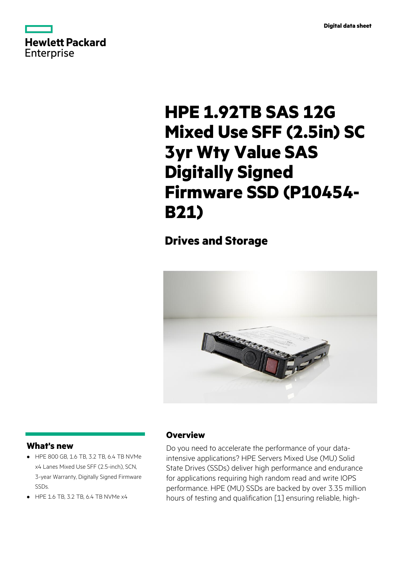

# **HPE 1.92TB SAS 12G Mixed Use SFF (2.5in) SC 3yr Wty Value SAS Digitally Signed Firmware SSD (P10454- B21)**

## **Drives and Storage**



#### **What's new**

- HPE 800 GB, 1.6 TB, 3.2 TB, 6.4 TB NVMe **·** x4 Lanes Mixed Use SFF (2.5-inch), SCN, 3-year Warranty, Digitally Signed Firmware SSDs.
- **·** HPE 1.6 TB, 3.2 TB, 6.4 TB NVMe x4

### **Overview**

Do you need to accelerate the performance of your dataintensive applications? HPE Servers Mixed Use (MU) Solid State Drives (SSDs) deliver high performance and endurance for applications requiring high random read and write IOPS performance. HPE (MU) SSDs are backed by over 3.35 million hours of testing and qualification [1] ensuring reliable, high-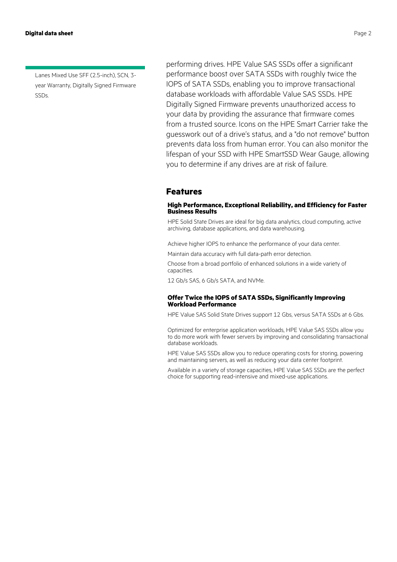#### **Digital data sheet** Page 2

Lanes Mixed Use SFF (2.5-inch), SCN, 3 year Warranty, Digitally Signed Firmware SSDs.

performing drives. HPE Value SAS SSDs offer a significant performance boost over SATA SSDs with roughly twice the IOPS of SATA SSDs, enabling you to improve transactional database workloads with affordable Value SAS SSDs. HPE Digitally Signed Firmware prevents unauthorized access to your data by providing the assurance that firmware comes from a trusted source. Icons on the HPE Smart Carrier take the guesswork out of a drive's status, and a "do not remove" button prevents data loss from human error. You can also monitor the lifespan of your SSD with HPE SmartSSD Wear Gauge, allowing you to determine if any drives are at risk of failure.

#### **Features**

#### **High Performance, Exceptional Reliability, and Efficiency for Faster Business Results**

HPE Solid State Drives are ideal for big data analytics, cloud computing, active archiving, database applications, and data warehousing.

Achieve higher IOPS to enhance the performance of your data center.

Maintain data accuracy with full data-path error detection.

Choose from a broad portfolio of enhanced solutions in a wide variety of capacities.

12 Gb/s SAS, 6 Gb/s SATA, and NVMe.

#### **Offer Twice the IOPS of SATA SSDs, Significantly Improving Workload Performance**

HPE Value SAS Solid State Drives support 12 Gbs, versus SATA SSDs at 6 Gbs.

Optimized for enterprise application workloads, HPE Value SAS SSDs allow you to do more work with fewer servers by improving and consolidating transactional database workloads.

HPE Value SAS SSDs allow you to reduce operating costs for storing, powering and maintaining servers, as well as reducing your data center footprint.

Available in a variety of storage capacities, HPE Value SAS SSDs are the perfect choice for supporting read-intensive and mixed-use applications.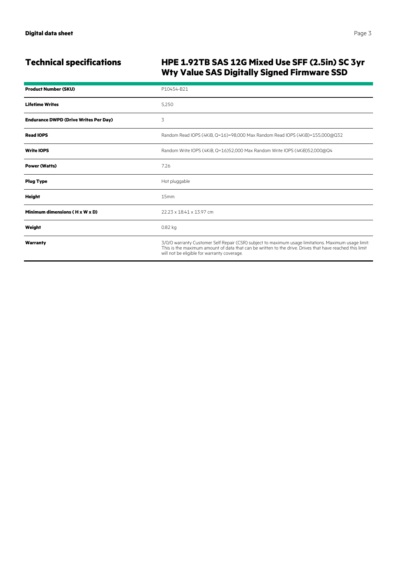### **Technical specifications HPE 1.92TB SAS 12G Mixed Use SFF (2.5in) SC 3yr Wty Value SAS Digitally Signed Firmware SSD**

| <b>Product Number (SKU)</b>                  | P10454-B21                                                                                                                                                                                                                                                      |
|----------------------------------------------|-----------------------------------------------------------------------------------------------------------------------------------------------------------------------------------------------------------------------------------------------------------------|
| <b>Lifetime Writes</b>                       | 5,250                                                                                                                                                                                                                                                           |
| <b>Endurance DWPD (Drive Writes Per Day)</b> | 3                                                                                                                                                                                                                                                               |
| <b>Read IOPS</b>                             | Random Read IOPS (4KiB, Q=16)=98,000 Max Random Read IOPS (4KiB)=155,000@Q32                                                                                                                                                                                    |
| <b>Write IOPS</b>                            | Random Write IOPS (4KiB, Q=16)52,000 Max Random Write IOPS (4KiB)52,000@Q4                                                                                                                                                                                      |
| <b>Power (Watts)</b>                         | 7.26                                                                                                                                                                                                                                                            |
| <b>Plug Type</b>                             | Hot pluggable                                                                                                                                                                                                                                                   |
| <b>Height</b>                                | 15mm                                                                                                                                                                                                                                                            |
| Minimum dimensions (H x W x D)               | 22.23 x 18.41 x 13.97 cm                                                                                                                                                                                                                                        |
| Weight                                       | 0.82 kg                                                                                                                                                                                                                                                         |
| Warranty                                     | 3/0/0 warranty Customer Self Repair (CSR) subject to maximum usage limitations. Maximum usage limit:<br>This is the maximum amount of data that can be written to the drive. Drives that have reached this limit<br>will not be eligible for warranty coverage. |